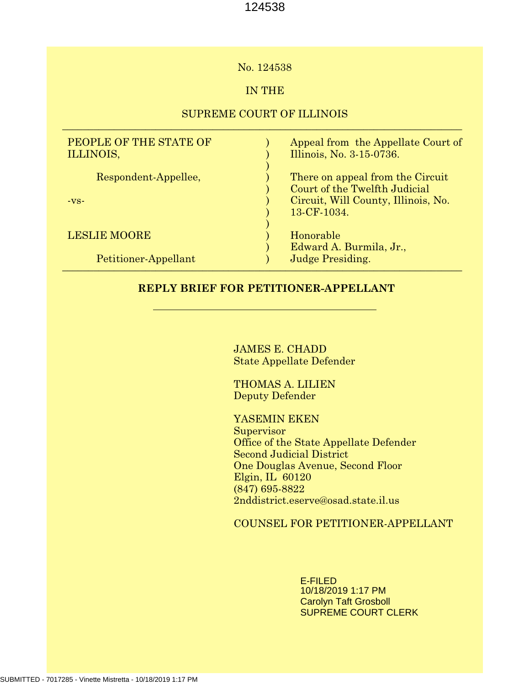### No. 124538

# IN THE

## SUPREME COURT OF ILLINOIS  $\_$  , and the set of the set of the set of the set of the set of the set of the set of the set of the set of the set of the set of the set of the set of the set of the set of the set of the set of the set of the set of th

| PEOPLE OF THE STATE OF<br>ILLINOIS, | Appeal from the Appellate Court of<br>Illinois, No. 3-15-0736.    |
|-------------------------------------|-------------------------------------------------------------------|
| Respondent-Appellee,                | There on appeal from the Circuit<br>Court of the Twelfth Judicial |
| $-VS-$                              | Circuit, Will County, Illinois, No.<br>13-CF-1034.                |
| <b>LESLIE MOORE</b>                 | Honorable<br>Edward A. Burmila, Jr.,                              |
| Petitioner-Appellant                | <b>Judge Presiding.</b>                                           |

## **REPLY BRIEF FOR PETITIONER-APPELLANT**

JAMES E. CHADD State Appellate Defender

THOMAS A. LILIEN Deputy Defender

YASEMIN EKEN **Supervisor** Office of the State Appellate Defender Second Judicial District One Douglas Avenue, Second Floor Elgin, IL 60120 (847) 695-8822 2nddistrict.eserve@osad.state.il.us

COUNSEL FOR PETITIONER-APPELLANT

E-FILED 10/18/2019 1:17 PM Carolyn Taft Grosboll SUPREME COURT CLERK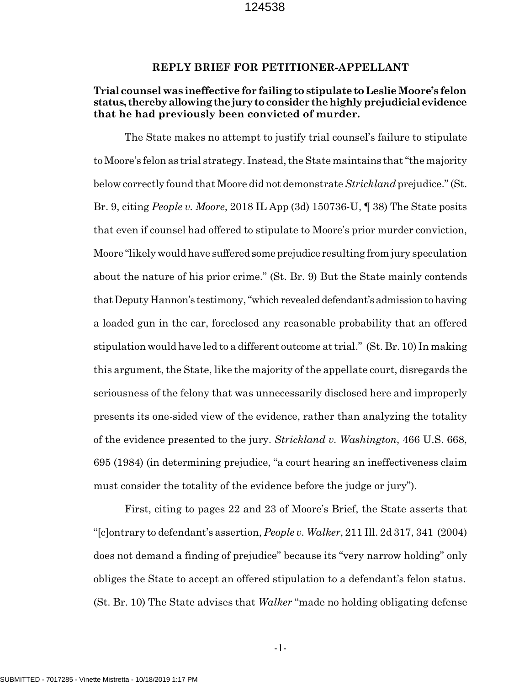#### **REPLY BRIEF FOR PETITIONER-APPELLANT**

## **Trial counsel was ineffective for failing to stipulate to Leslie Moore's felon status, thereby allowing the jury to consider the highly prejudicial evidence that he had previously been convicted of murder.**

The State makes no attempt to justify trial counsel's failure to stipulate to Moore's felon as trial strategy. Instead, the State maintains that "the majority below correctly found that Moore did not demonstrate *Strickland* prejudice." (St. Br. 9, citing *People v. Moore*, 2018 IL App (3d) 150736-U, ¶ 38) The State posits that even if counsel had offered to stipulate to Moore's prior murder conviction, Moore "likely would have suffered some prejudice resulting from jury speculation about the nature of his prior crime." (St. Br. 9) But the State mainly contends that Deputy Hannon's testimony, "which revealed defendant's admission to having a loaded gun in the car, foreclosed any reasonable probability that an offered stipulation would have led to a different outcome at trial." (St. Br. 10) In making this argument, the State, like the majority of the appellate court, disregards the seriousness of the felony that was unnecessarily disclosed here and improperly presents its one-sided view of the evidence, rather than analyzing the totality of the evidence presented to the jury. *Strickland v. Washington*, 466 U.S. 668, 695 (1984) (in determining prejudice, "a court hearing an ineffectiveness claim must consider the totality of the evidence before the judge or jury").

First, citing to pages 22 and 23 of Moore's Brief, the State asserts that "[c]ontrary to defendant's assertion, *People v. Walker*, 211 Ill. 2d 317, 341 (2004) does not demand a finding of prejudice" because its "very narrow holding" only obliges the State to accept an offered stipulation to a defendant's felon status. (St. Br. 10) The State advises that *Walker* "made no holding obligating defense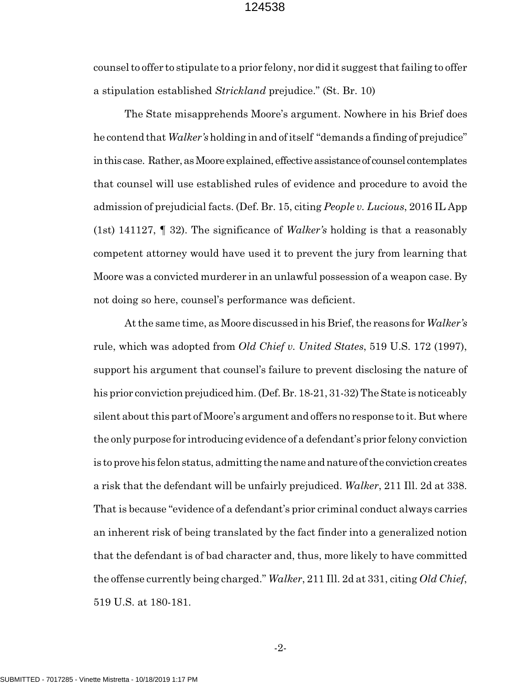counsel to offer to stipulate to a prior felony, nor did it suggest that failing to offer a stipulation established *Strickland* prejudice." (St. Br. 10)

The State misapprehends Moore's argument. Nowhere in his Brief does he contend that *Walker's* holding in and of itself "demands a finding of prejudice" in this case. Rather, as Moore explained, effective assistance of counsel contemplates that counsel will use established rules of evidence and procedure to avoid the admission of prejudicial facts. (Def. Br. 15, citing *People v. Lucious*, 2016 IL App (1st) 141127, ¶ 32). The significance of *Walker's* holding is that a reasonably competent attorney would have used it to prevent the jury from learning that Moore was a convicted murderer in an unlawful possession of a weapon case. By not doing so here, counsel's performance was deficient.

At the same time, as Moore discussed in his Brief, the reasons for *Walker's* rule, which was adopted from *Old Chief v. United States*, 519 U.S. 172 (1997), support his argument that counsel's failure to prevent disclosing the nature of his prior conviction prejudiced him. (Def. Br. 18-21, 31-32) The State is noticeably silent about this part of Moore's argument and offers no response to it. But where the only purpose for introducing evidence of a defendant's prior felony conviction is to prove his felon status, admitting the name and nature of the conviction creates a risk that the defendant will be unfairly prejudiced. *Walker*, 211 Ill. 2d at 338. That is because "evidence of a defendant's prior criminal conduct always carries an inherent risk of being translated by the fact finder into a generalized notion that the defendant is of bad character and, thus, more likely to have committed the offense currently being charged." *Walker*, 211 Ill. 2d at 331, citing *Old Chief*, 519 U.S. at 180-181.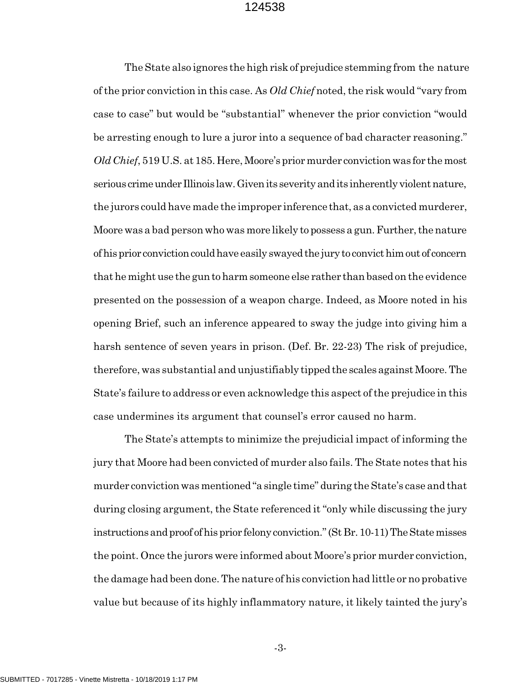The State also ignores the high risk of prejudice stemming from the nature of the prior conviction in this case. As *Old Chief* noted, the risk would "vary from case to case" but would be "substantial" whenever the prior conviction "would be arresting enough to lure a juror into a sequence of bad character reasoning." *Old Chief*, 519 U.S. at 185. Here, Moore's prior murder conviction was for the most serious crime under Illinois law. Given its severity and its inherently violent nature, the jurors could have made the improper inference that, as a convicted murderer, Moore was a bad person who was more likely to possess a gun. Further, the nature of his prior conviction could have easily swayed the jury to convict him out of concern that he might use the gun to harm someone else rather than based on the evidence presented on the possession of a weapon charge. Indeed, as Moore noted in his opening Brief, such an inference appeared to sway the judge into giving him a harsh sentence of seven years in prison. (Def. Br. 22-23) The risk of prejudice, therefore, was substantial and unjustifiably tipped the scales against Moore. The State's failure to address or even acknowledge this aspect of the prejudice in this case undermines its argument that counsel's error caused no harm.

The State's attempts to minimize the prejudicial impact of informing the jury that Moore had been convicted of murder also fails. The State notes that his murder conviction was mentioned "a single time" during the State's case and that during closing argument, the State referenced it "only while discussing the jury instructions and proof of his prior felony conviction." (St Br. 10-11) The State misses the point. Once the jurors were informed about Moore's prior murder conviction, the damage had been done. The nature of his conviction had little or no probative value but because of its highly inflammatory nature, it likely tainted the jury's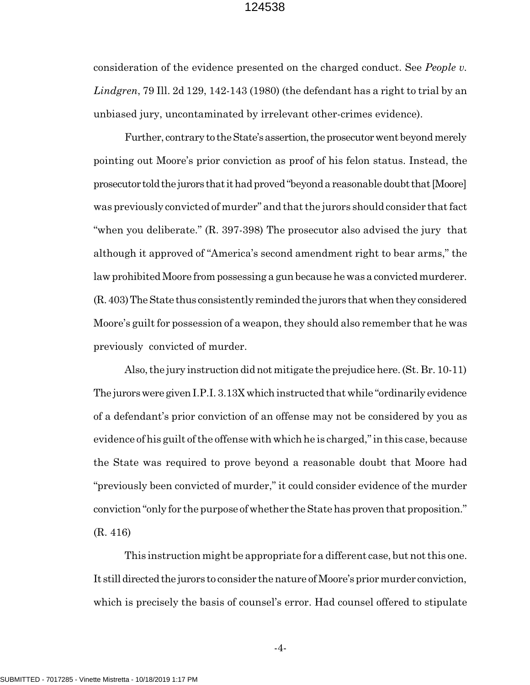consideration of the evidence presented on the charged conduct. See *People v. Lindgren*, 79 Ill. 2d 129, 142-143 (1980) (the defendant has a right to trial by an unbiased jury, uncontaminated by irrelevant other-crimes evidence).

Further, contrary to the State's assertion, the prosecutor went beyond merely pointing out Moore's prior conviction as proof of his felon status. Instead, the prosecutor told the jurors that it had proved "beyond a reasonable doubt that [Moore] was previously convicted of murder" and that the jurors should consider that fact "when you deliberate." (R. 397-398) The prosecutor also advised the jury that although it approved of "America's second amendment right to bear arms," the law prohibited Moore from possessing a gun because he was a convicted murderer. (R. 403) The State thus consistently reminded the jurors that when they considered Moore's guilt for possession of a weapon, they should also remember that he was previously convicted of murder.

Also, the jury instruction did not mitigate the prejudice here. (St. Br. 10-11) The jurors were given I.P.I. 3.13X which instructed that while "ordinarily evidence of a defendant's prior conviction of an offense may not be considered by you as evidence of his guilt of the offense with which he is charged," in this case, because the State was required to prove beyond a reasonable doubt that Moore had "previously been convicted of murder," it could consider evidence of the murder conviction "only for the purpose of whether the State has proven that proposition." (R. 416)

This instruction might be appropriate for a different case, but not this one. It still directed the jurors to consider the nature of Moore's prior murder conviction, which is precisely the basis of counsel's error. Had counsel offered to stipulate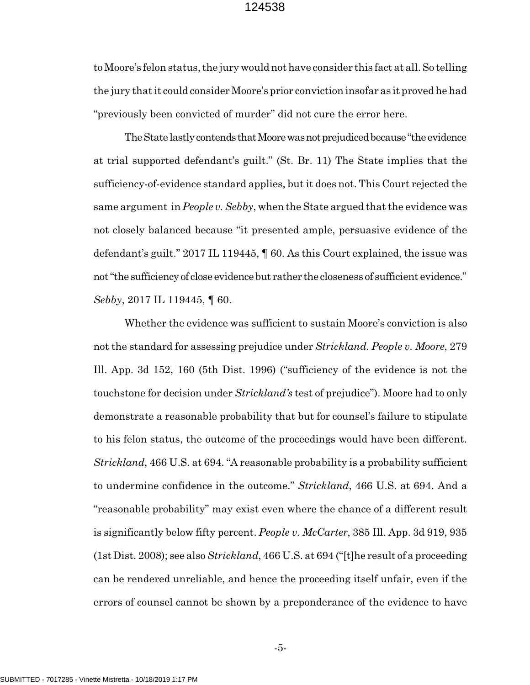to Moore's felon status, the jury would not have consider this fact at all. So telling the jury that it could consider Moore's prior conviction insofar as it proved he had "previously been convicted of murder" did not cure the error here.

The State lastly contends that Moore was not prejudiced because "the evidence at trial supported defendant's guilt." (St. Br. 11) The State implies that the sufficiency-of-evidence standard applies, but it does not. This Court rejected the same argument in *People v. Sebby*, when the State argued that the evidence was not closely balanced because "it presented ample, persuasive evidence of the defendant's guilt." 2017 IL 119445, ¶ 60*.* As this Court explained, the issue was not "the sufficiency of close evidence but rather the closeness of sufficient evidence." *Sebby*, 2017 IL 119445, ¶ 60*.*

Whether the evidence was sufficient to sustain Moore's conviction is also not the standard for assessing prejudice under *Strickland*. *People v. Moore*, 279 Ill. App. 3d 152, 160 (5th Dist. 1996) ("sufficiency of the evidence is not the touchstone for decision under *Strickland's* test of prejudice"). Moore had to only demonstrate a reasonable probability that but for counsel's failure to stipulate to his felon status, the outcome of the proceedings would have been different. *Strickland*, 466 U.S. at 694. "A reasonable probability is a probability sufficient to undermine confidence in the outcome." *Strickland*, 466 U.S. at 694. And a "reasonable probability" may exist even where the chance of a different result is significantly below fifty percent. *People v. McCarter*, 385 Ill. App. 3d 919, 935 (1st Dist. 2008); see also *Strickland*, 466 U.S. at 694 ("[t]he result of a proceeding can be rendered unreliable, and hence the proceeding itself unfair, even if the errors of counsel cannot be shown by a preponderance of the evidence to have

-5-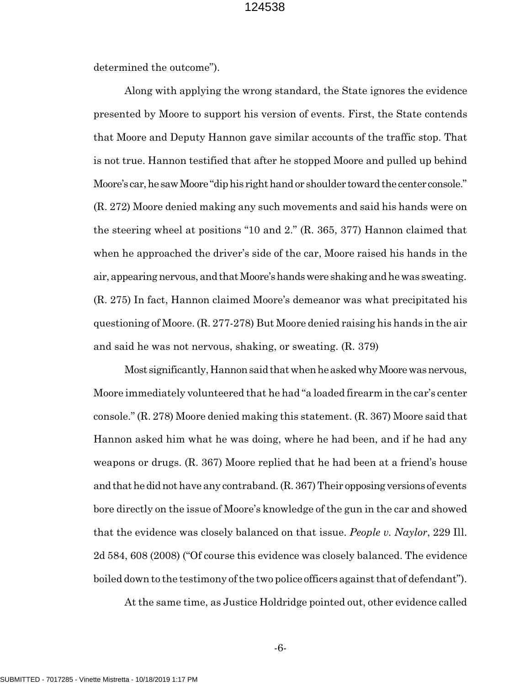determined the outcome").

Along with applying the wrong standard, the State ignores the evidence presented by Moore to support his version of events. First, the State contends that Moore and Deputy Hannon gave similar accounts of the traffic stop. That is not true. Hannon testified that after he stopped Moore and pulled up behind Moore's car, he saw Moore "dip his right hand or shoulder toward the center console." (R. 272) Moore denied making any such movements and said his hands were on the steering wheel at positions "10 and 2." (R. 365, 377) Hannon claimed that when he approached the driver's side of the car, Moore raised his hands in the air, appearing nervous, and that Moore's hands were shaking and he was sweating. (R. 275) In fact, Hannon claimed Moore's demeanor was what precipitated his questioning of Moore. (R. 277-278) But Moore denied raising his hands in the air and said he was not nervous, shaking, or sweating. (R. 379)

Most significantly, Hannon said that when he asked why Moore was nervous, Moore immediately volunteered that he had "a loaded firearm in the car's center console." (R. 278) Moore denied making this statement. (R. 367) Moore said that Hannon asked him what he was doing, where he had been, and if he had any weapons or drugs. (R. 367) Moore replied that he had been at a friend's house and that he did not have any contraband. (R. 367) Their opposing versions of events bore directly on the issue of Moore's knowledge of the gun in the car and showed that the evidence was closely balanced on that issue. *People v. Naylor*, 229 Ill. 2d 584, 608 (2008) ("Of course this evidence was closely balanced. The evidence boiled down to the testimony of the two police officers against that of defendant").

At the same time, as Justice Holdridge pointed out, other evidence called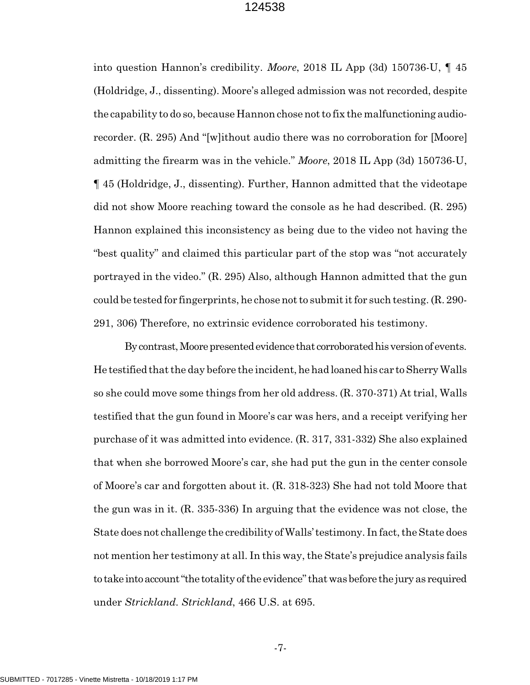into question Hannon's credibility. *Moore*, 2018 IL App (3d) 150736-U, ¶ 45 (Holdridge, J., dissenting). Moore's alleged admission was not recorded, despite the capability to do so, because Hannon chose not to fix the malfunctioning audiorecorder. (R. 295) And "[w]ithout audio there was no corroboration for [Moore] admitting the firearm was in the vehicle." *Moore*, 2018 IL App (3d) 150736-U, ¶ 45 (Holdridge, J., dissenting). Further, Hannon admitted that the videotape did not show Moore reaching toward the console as he had described. (R. 295) Hannon explained this inconsistency as being due to the video not having the "best quality" and claimed this particular part of the stop was "not accurately portrayed in the video." (R. 295) Also, although Hannon admitted that the gun could be tested for fingerprints, he chose not to submit it for such testing. (R. 290- 291, 306) Therefore, no extrinsic evidence corroborated his testimony.

By contrast, Moore presented evidence that corroborated his version of events. He testified that the day before the incident, he had loaned his car to Sherry Walls so she could move some things from her old address. (R. 370-371) At trial, Walls testified that the gun found in Moore's car was hers, and a receipt verifying her purchase of it was admitted into evidence. (R. 317, 331-332) She also explained that when she borrowed Moore's car, she had put the gun in the center console of Moore's car and forgotten about it. (R. 318-323) She had not told Moore that the gun was in it. (R. 335-336) In arguing that the evidence was not close, the State does not challenge the credibility of Walls' testimony. In fact, the State does not mention her testimony at all. In this way, the State's prejudice analysis fails to take into account "the totality of the evidence" that was before the jury as required under *Strickland*. *Strickland*, 466 U.S. at 695.

-7-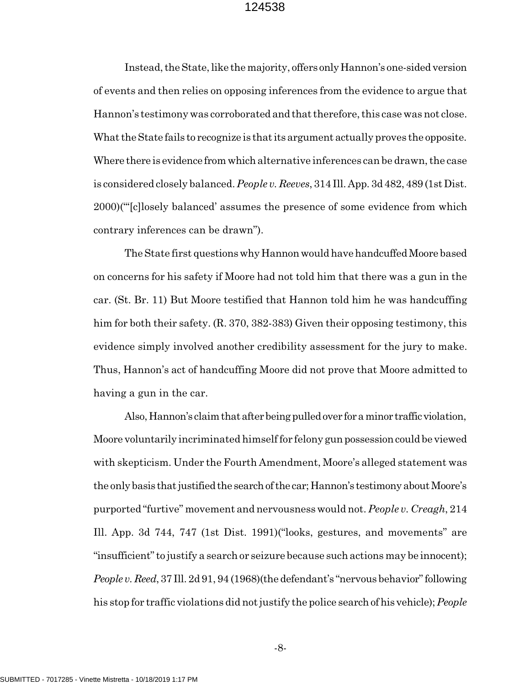Instead, the State, like the majority, offers only Hannon's one-sided version of events and then relies on opposing inferences from the evidence to argue that Hannon's testimony was corroborated and that therefore, this case was not close. What the State fails to recognize is that its argument actually proves the opposite. Where there is evidence from which alternative inferences can be drawn, the case is considered closely balanced. *People v. Reeves*, 314 Ill. App. 3d 482, 489 (1st Dist. 2000)("'[c]losely balanced' assumes the presence of some evidence from which contrary inferences can be drawn").

The State first questions why Hannon would have handcuffed Moore based on concerns for his safety if Moore had not told him that there was a gun in the car. (St. Br. 11) But Moore testified that Hannon told him he was handcuffing him for both their safety. (R. 370, 382-383) Given their opposing testimony, this evidence simply involved another credibility assessment for the jury to make. Thus, Hannon's act of handcuffing Moore did not prove that Moore admitted to having a gun in the car.

Also, Hannon's claim that after being pulled over for a minor traffic violation, Moore voluntarily incriminated himself for felony gun possession could be viewed with skepticism. Under the Fourth Amendment, Moore's alleged statement was the only basis that justified the search of the car; Hannon's testimony about Moore's purported "furtive" movement and nervousness would not. *People v. Creagh*, 214 Ill. App. 3d 744, 747 (1st Dist. 1991)("looks, gestures, and movements" are "insufficient" to justify a search or seizure because such actions may be innocent); *People v. Reed*, 37 Ill. 2d 91, 94 (1968)(the defendant's "nervous behavior" following his stop for traffic violations did not justify the police search of his vehicle); *People*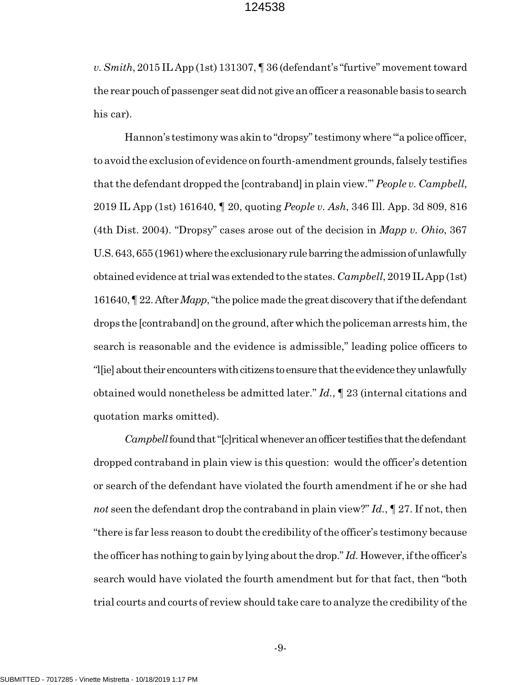*v. Smith*, 2015 IL App (1st) 131307, ¶ 36 (defendant's "furtive" movement toward the rear pouch of passenger seat did not give an officer a reasonable basis to search his car).

Hannon's testimony was akin to "dropsy" testimony where "'a police officer, to avoid the exclusion of evidence on fourth-amendment grounds, falsely testifies that the defendant dropped the [contraband] in plain view.'" *People v. Campbell*, 2019 IL App (1st) 161640, ¶ 20, quoting *People v. Ash*, 346 Ill. App. 3d 809, 816 (4th Dist. 2004). "Dropsy" cases arose out of the decision in *Mapp v. Ohio*, 367 U.S. 643, 655 (1961) where the exclusionary rule barring the admission of unlawfully obtained evidence at trial was extended to the states. *Campbell*, 2019 IL App (1st) 161640, ¶ 22. After *Mapp*, "the police made the great discovery that if the defendant drops the [contraband] on the ground, after which the policeman arrests him, the search is reasonable and the evidence is admissible," leading police officers to "l[ie] about their encounters with citizens to ensure that the evidence they unlawfully obtained would nonetheless be admitted later." *Id.*, ¶ 23 (internal citations and quotation marks omitted).

*Campbell* found that "[c]ritical whenever an officer testifies that the defendant dropped contraband in plain view is this question: would the officer's detention or search of the defendant have violated the fourth amendment if he or she had *not* seen the defendant drop the contraband in plain view?" *Id.*, ¶ 27. If not, then "there is far less reason to doubt the credibility of the officer's testimony because the officer has nothing to gain by lying about the drop." *Id.* However, if the officer's search would have violated the fourth amendment but for that fact, then "both trial courts and courts of review should take care to analyze the credibility of the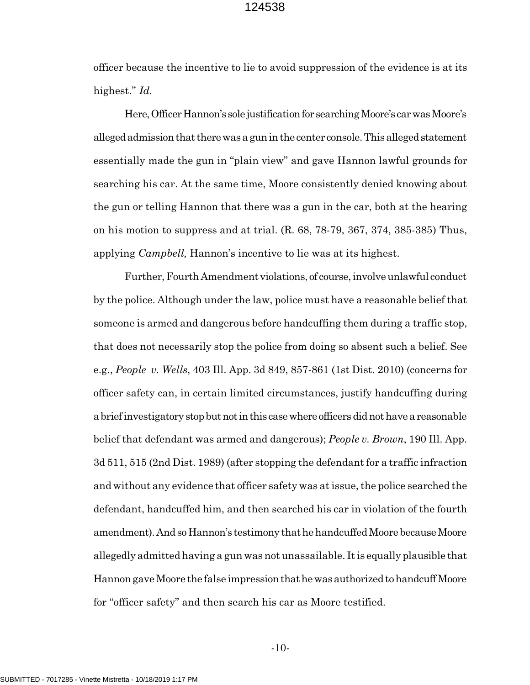officer because the incentive to lie to avoid suppression of the evidence is at its highest." *Id.* 

Here, Officer Hannon's sole justification for searching Moore's car was Moore's alleged admission that there was a gun in the center console. This alleged statement essentially made the gun in "plain view" and gave Hannon lawful grounds for searching his car. At the same time, Moore consistently denied knowing about the gun or telling Hannon that there was a gun in the car, both at the hearing on his motion to suppress and at trial. (R. 68, 78-79, 367, 374, 385-385) Thus, applying *Campbell,* Hannon's incentive to lie was at its highest.

Further, Fourth Amendment violations, of course, involve unlawful conduct by the police. Although under the law, police must have a reasonable belief that someone is armed and dangerous before handcuffing them during a traffic stop, that does not necessarily stop the police from doing so absent such a belief. See e.g., *People v. Wells*, 403 Ill. App. 3d 849, 857-861 (1st Dist. 2010) (concerns for officer safety can, in certain limited circumstances, justify handcuffing during a brief investigatory stop but not in this case where officers did not have a reasonable belief that defendant was armed and dangerous); *People v. Brown*, 190 Ill. App. 3d 511, 515 (2nd Dist. 1989) (after stopping the defendant for a traffic infraction and without any evidence that officer safety was at issue, the police searched the defendant, handcuffed him, and then searched his car in violation of the fourth amendment). And so Hannon's testimony that he handcuffed Moore because Moore allegedly admitted having a gun was not unassailable. It is equally plausible that Hannon gave Moore the false impression that he was authorized to handcuff Moore for "officer safety" and then search his car as Moore testified.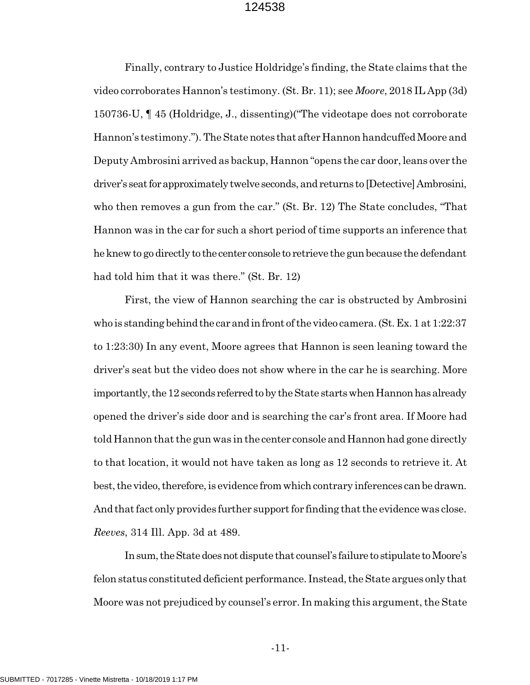Finally, contrary to Justice Holdridge's finding, the State claims that the video corroborates Hannon's testimony. (St. Br. 11); see *Moore*, 2018 IL App (3d) 150736-U, ¶ 45 (Holdridge, J., dissenting)("The videotape does not corroborate Hannon's testimony."). The State notes that after Hannon handcuffed Moore and Deputy Ambrosini arrived as backup, Hannon "opens the car door, leans over the driver's seat for approximately twelve seconds, and returns to [Detective] Ambrosini, who then removes a gun from the car." (St. Br. 12) The State concludes, "That Hannon was in the car for such a short period of time supports an inference that he knew to go directly to the center console to retrieve the gun because the defendant had told him that it was there." (St. Br. 12)

First, the view of Hannon searching the car is obstructed by Ambrosini who is standing behind the car and in front of the video camera. (St. Ex. 1 at 1:22:37 to 1:23:30) In any event, Moore agrees that Hannon is seen leaning toward the driver's seat but the video does not show where in the car he is searching. More importantly, the 12 seconds referred to by the State starts when Hannon has already opened the driver's side door and is searching the car's front area. If Moore had told Hannon that the gun was in the center console and Hannon had gone directly to that location, it would not have taken as long as 12 seconds to retrieve it. At best, the video, therefore, is evidence from which contrary inferences can be drawn. And that fact only provides further support for finding that the evidence was close. *Reeves*, 314 Ill. App. 3d at 489.

In sum, the State does not dispute that counsel's failure to stipulate to Moore's felon status constituted deficient performance. Instead, the State argues only that Moore was not prejudiced by counsel's error. In making this argument, the State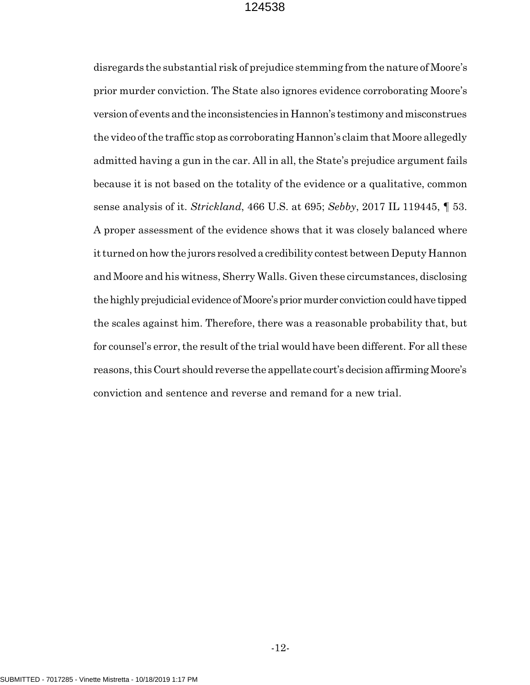disregards the substantial risk of prejudice stemming from the nature of Moore's prior murder conviction. The State also ignores evidence corroborating Moore's version of events and the inconsistencies in Hannon's testimony and misconstrues the video of the traffic stop as corroborating Hannon's claim that Moore allegedly admitted having a gun in the car. All in all, the State's prejudice argument fails because it is not based on the totality of the evidence or a qualitative, common sense analysis of it. *Strickland*, 466 U.S. at 695; *Sebby*, 2017 IL 119445, ¶ 53. A proper assessment of the evidence shows that it was closely balanced where it turned on how the jurors resolved a credibility contest between Deputy Hannon and Moore and his witness, Sherry Walls. Given these circumstances, disclosing the highly prejudicial evidence of Moore's prior murder conviction could have tipped the scales against him. Therefore, there was a reasonable probability that, but for counsel's error, the result of the trial would have been different. For all these reasons, this Court should reverse the appellate court's decision affirming Moore's conviction and sentence and reverse and remand for a new trial.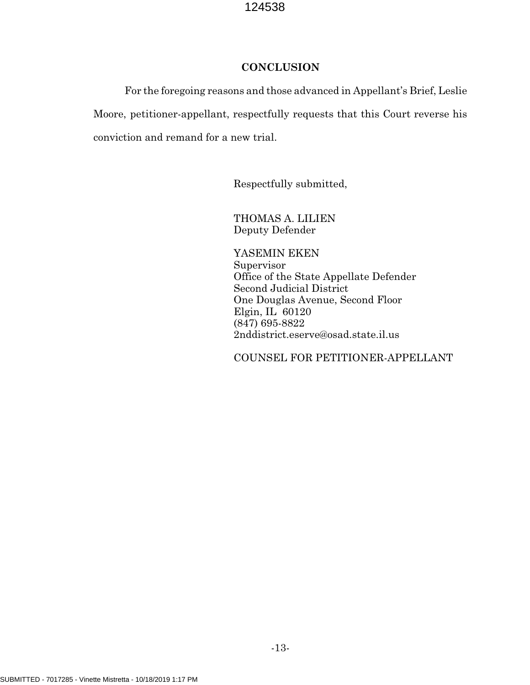# **CONCLUSION**

For the foregoing reasons and those advanced in Appellant's Brief, Leslie Moore, petitioner-appellant, respectfully requests that this Court reverse his conviction and remand for a new trial.

Respectfully submitted,

THOMAS A. LILIEN Deputy Defender

YASEMIN EKEN Supervisor Office of the State Appellate Defender Second Judicial District One Douglas Avenue, Second Floor Elgin, IL 60120 (847) 695-8822 2nddistrict.eserve@osad.state.il.us

COUNSEL FOR PETITIONER-APPELLANT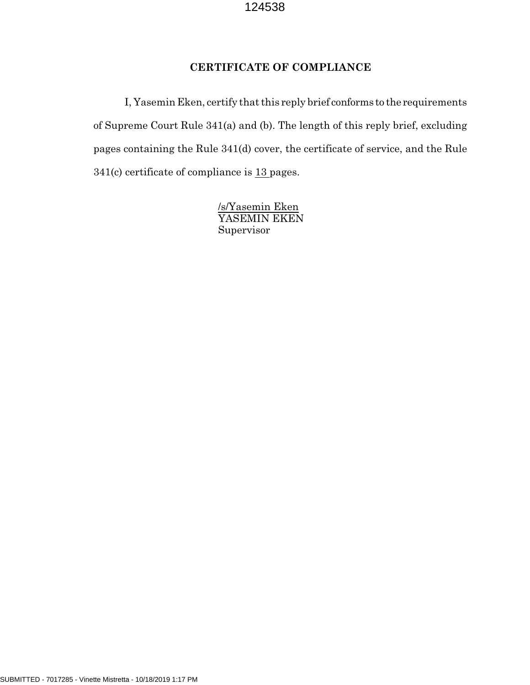# **CERTIFICATE OF COMPLIANCE**

I, Yasemin Eken, certify that this reply brief conforms to the requirements of Supreme Court Rule 341(a) and (b). The length of this reply brief, excluding pages containing the Rule 341(d) cover, the certificate of service, and the Rule 341(c) certificate of compliance is 13 pages.

> /s/Yasemin Eken YASEMIN EKEN Supervisor